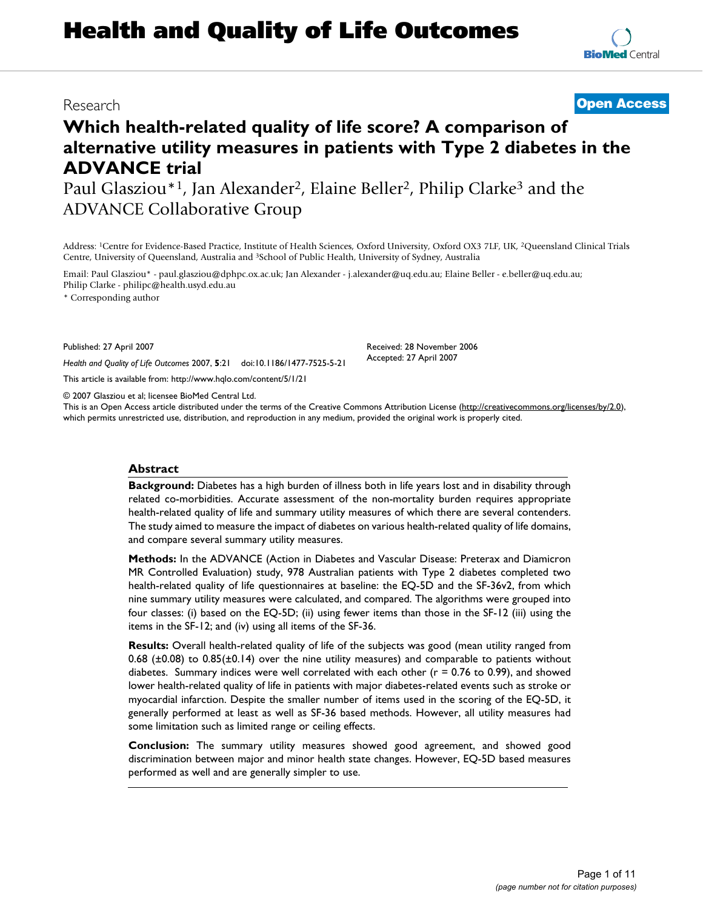# **Which health-related quality of life score? A comparison of alternative utility measures in patients with Type 2 diabetes in the ADVANCE trial**

Paul Glasziou<sup>\*1</sup>, Jan Alexander<sup>2</sup>, Elaine Beller<sup>2</sup>, Philip Clarke<sup>3</sup> and the ADVANCE Collaborative Group

Address: 1Centre for Evidence-Based Practice, Institute of Health Sciences, Oxford University, Oxford OX3 7LF, UK, 2Queensland Clinical Trials Centre, University of Queensland, Australia and 3School of Public Health, University of Sydney, Australia

Email: Paul Glasziou\* - paul.glasziou@dphpc.ox.ac.uk; Jan Alexander - j.alexander@uq.edu.au; Elaine Beller - e.beller@uq.edu.au; Philip Clarke - philipc@health.usyd.edu.au

\* Corresponding author

Published: 27 April 2007

*Health and Quality of Life Outcomes* 2007, **5**:21 doi:10.1186/1477-7525-5-21

[This article is available from: http://www.hqlo.com/content/5/1/21](http://www.hqlo.com/content/5/1/21)

© 2007 Glasziou et al; licensee BioMed Central Ltd.

This is an Open Access article distributed under the terms of the Creative Commons Attribution License [\(http://creativecommons.org/licenses/by/2.0\)](http://creativecommons.org/licenses/by/2.0), which permits unrestricted use, distribution, and reproduction in any medium, provided the original work is properly cited.

### **Abstract**

**Background:** Diabetes has a high burden of illness both in life years lost and in disability through related co-morbidities. Accurate assessment of the non-mortality burden requires appropriate health-related quality of life and summary utility measures of which there are several contenders. The study aimed to measure the impact of diabetes on various health-related quality of life domains, and compare several summary utility measures.

**Methods:** In the ADVANCE (Action in Diabetes and Vascular Disease: Preterax and Diamicron MR Controlled Evaluation) study, 978 Australian patients with Type 2 diabetes completed two health-related quality of life questionnaires at baseline: the EQ-5D and the SF-36v2, from which nine summary utility measures were calculated, and compared. The algorithms were grouped into four classes: (i) based on the EQ-5D; (ii) using fewer items than those in the SF-12 (iii) using the items in the SF-12; and (iv) using all items of the SF-36.

**Results:** Overall health-related quality of life of the subjects was good (mean utility ranged from 0.68 ( $\pm$ 0.08) to 0.85( $\pm$ 0.14) over the nine utility measures) and comparable to patients without diabetes. Summary indices were well correlated with each other ( $r = 0.76$  to 0.99), and showed lower health-related quality of life in patients with major diabetes-related events such as stroke or myocardial infarction. Despite the smaller number of items used in the scoring of the EQ-5D, it generally performed at least as well as SF-36 based methods. However, all utility measures had some limitation such as limited range or ceiling effects.

**Conclusion:** The summary utility measures showed good agreement, and showed good discrimination between major and minor health state changes. However, EQ-5D based measures performed as well and are generally simpler to use.

## Research **[Open Access](http://www.biomedcentral.com/info/about/charter/)**

Received: 28 November 2006 Accepted: 27 April 2007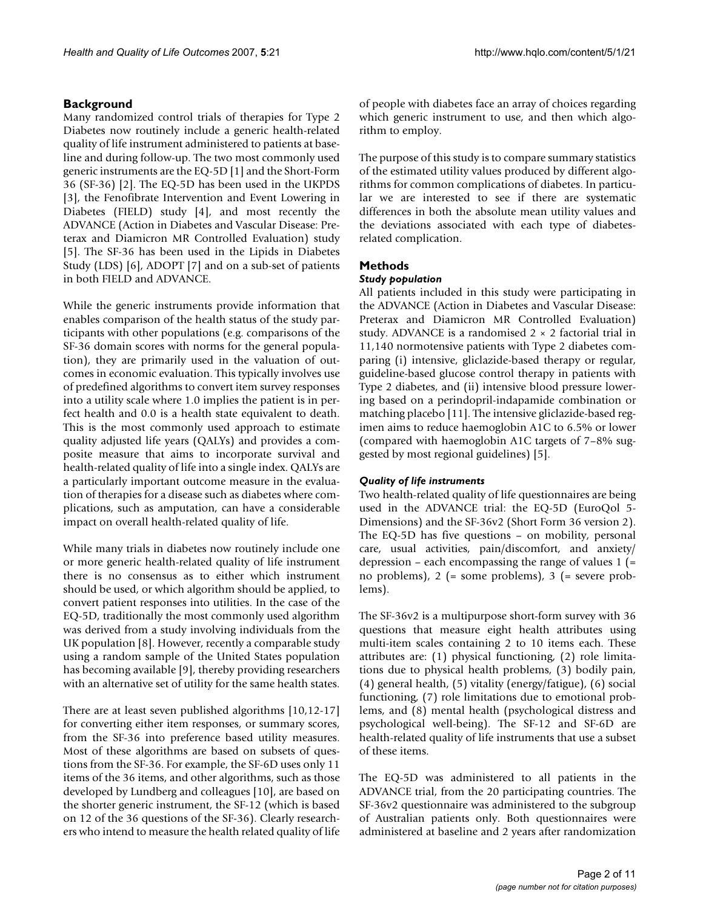### **Background**

Many randomized control trials of therapies for Type 2 Diabetes now routinely include a generic health-related quality of life instrument administered to patients at baseline and during follow-up. The two most commonly used generic instruments are the EQ-5D [1] and the Short-Form 36 (SF-36) [2]. The EQ-5D has been used in the UKPDS [3], the Fenofibrate Intervention and Event Lowering in Diabetes (FIELD) study [4], and most recently the ADVANCE (Action in Diabetes and Vascular Disease: Preterax and Diamicron MR Controlled Evaluation) study [5]. The SF-36 has been used in the Lipids in Diabetes Study (LDS) [6], ADOPT [7] and on a sub-set of patients in both FIELD and ADVANCE.

While the generic instruments provide information that enables comparison of the health status of the study participants with other populations (e.g. comparisons of the SF-36 domain scores with norms for the general population), they are primarily used in the valuation of outcomes in economic evaluation. This typically involves use of predefined algorithms to convert item survey responses into a utility scale where 1.0 implies the patient is in perfect health and 0.0 is a health state equivalent to death. This is the most commonly used approach to estimate quality adjusted life years (QALYs) and provides a composite measure that aims to incorporate survival and health-related quality of life into a single index. QALYs are a particularly important outcome measure in the evaluation of therapies for a disease such as diabetes where complications, such as amputation, can have a considerable impact on overall health-related quality of life.

While many trials in diabetes now routinely include one or more generic health-related quality of life instrument there is no consensus as to either which instrument should be used, or which algorithm should be applied, to convert patient responses into utilities. In the case of the EQ-5D, traditionally the most commonly used algorithm was derived from a study involving individuals from the UK population [8]. However, recently a comparable study using a random sample of the United States population has becoming available [9], thereby providing researchers with an alternative set of utility for the same health states.

There are at least seven published algorithms [10,12-17] for converting either item responses, or summary scores, from the SF-36 into preference based utility measures. Most of these algorithms are based on subsets of questions from the SF-36. For example, the SF-6D uses only 11 items of the 36 items, and other algorithms, such as those developed by Lundberg and colleagues [10], are based on the shorter generic instrument, the SF-12 (which is based on 12 of the 36 questions of the SF-36). Clearly researchers who intend to measure the health related quality of life of people with diabetes face an array of choices regarding which generic instrument to use, and then which algorithm to employ.

The purpose of this study is to compare summary statistics of the estimated utility values produced by different algorithms for common complications of diabetes. In particular we are interested to see if there are systematic differences in both the absolute mean utility values and the deviations associated with each type of diabetesrelated complication.

### **Methods**

### *Study population*

All patients included in this study were participating in the ADVANCE (Action in Diabetes and Vascular Disease: Preterax and Diamicron MR Controlled Evaluation) study. ADVANCE is a randomised  $2 \times 2$  factorial trial in 11,140 normotensive patients with Type 2 diabetes comparing (i) intensive, gliclazide-based therapy or regular, guideline-based glucose control therapy in patients with Type 2 diabetes, and (ii) intensive blood pressure lowering based on a perindopril-indapamide combination or matching placebo [11]. The intensive gliclazide-based regimen aims to reduce haemoglobin A1C to 6.5% or lower (compared with haemoglobin A1C targets of 7–8% suggested by most regional guidelines) [5].

### *Quality of life instruments*

Two health-related quality of life questionnaires are being used in the ADVANCE trial: the EQ-5D (EuroQol 5- Dimensions) and the SF-36v2 (Short Form 36 version 2). The EQ-5D has five questions – on mobility, personal care, usual activities, pain/discomfort, and anxiety/ depression – each encompassing the range of values  $1$  (= no problems), 2 (= some problems), 3 (= severe problems).

The SF-36v2 is a multipurpose short-form survey with 36 questions that measure eight health attributes using multi-item scales containing 2 to 10 items each. These attributes are: (1) physical functioning, (2) role limitations due to physical health problems, (3) bodily pain, (4) general health, (5) vitality (energy/fatigue), (6) social functioning, (7) role limitations due to emotional problems, and (8) mental health (psychological distress and psychological well-being). The SF-12 and SF-6D are health-related quality of life instruments that use a subset of these items.

The EQ-5D was administered to all patients in the ADVANCE trial, from the 20 participating countries. The SF-36v2 questionnaire was administered to the subgroup of Australian patients only. Both questionnaires were administered at baseline and 2 years after randomization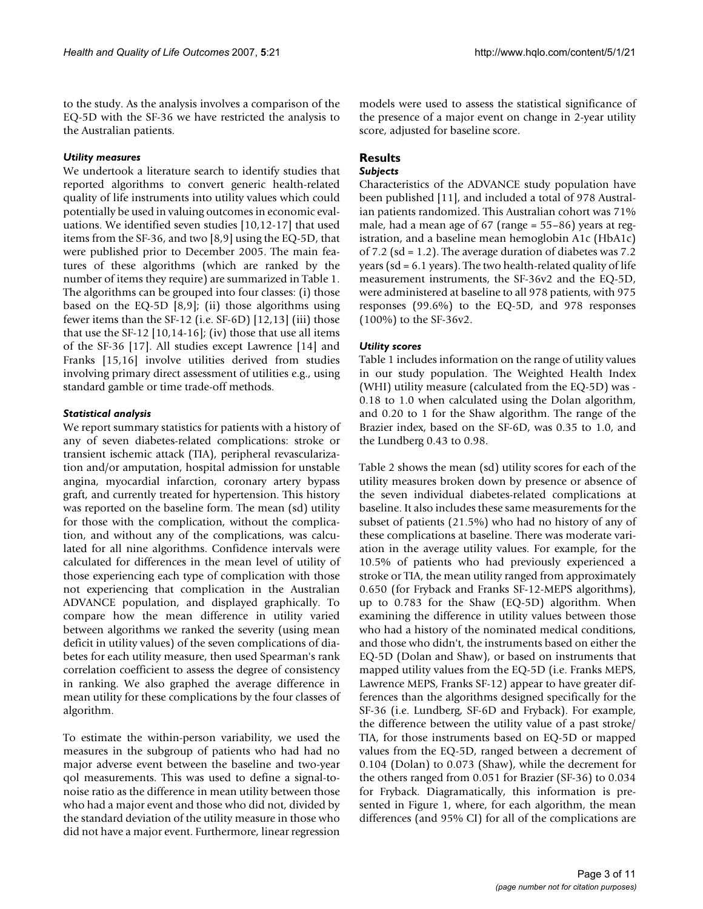to the study. As the analysis involves a comparison of the EQ-5D with the SF-36 we have restricted the analysis to the Australian patients.

### *Utility measures*

We undertook a literature search to identify studies that reported algorithms to convert generic health-related quality of life instruments into utility values which could potentially be used in valuing outcomes in economic evaluations. We identified seven studies [10,12-17] that used items from the SF-36, and two [8,9] using the EQ-5D, that were published prior to December 2005. The main features of these algorithms (which are ranked by the number of items they require) are summarized in Table 1. The algorithms can be grouped into four classes: (i) those based on the EQ-5D  $[8,9]$ ; (ii) those algorithms using fewer items than the SF-12 (i.e. SF-6D) [12,13] (iii) those that use the SF-12 [10,14-16]; (iv) those that use all items of the SF-36 [17]. All studies except Lawrence [14] and Franks [15,16] involve utilities derived from studies involving primary direct assessment of utilities e.g., using standard gamble or time trade-off methods.

### *Statistical analysis*

We report summary statistics for patients with a history of any of seven diabetes-related complications: stroke or transient ischemic attack (TIA), peripheral revascularization and/or amputation, hospital admission for unstable angina, myocardial infarction, coronary artery bypass graft, and currently treated for hypertension. This history was reported on the baseline form. The mean (sd) utility for those with the complication, without the complication, and without any of the complications, was calculated for all nine algorithms. Confidence intervals were calculated for differences in the mean level of utility of those experiencing each type of complication with those not experiencing that complication in the Australian ADVANCE population, and displayed graphically. To compare how the mean difference in utility varied between algorithms we ranked the severity (using mean deficit in utility values) of the seven complications of diabetes for each utility measure, then used Spearman's rank correlation coefficient to assess the degree of consistency in ranking. We also graphed the average difference in mean utility for these complications by the four classes of algorithm.

To estimate the within-person variability, we used the measures in the subgroup of patients who had had no major adverse event between the baseline and two-year qol measurements. This was used to define a signal-tonoise ratio as the difference in mean utility between those who had a major event and those who did not, divided by the standard deviation of the utility measure in those who did not have a major event. Furthermore, linear regression

models were used to assess the statistical significance of the presence of a major event on change in 2-year utility score, adjusted for baseline score.

### **Results**

### *Subjects*

Characteristics of the ADVANCE study population have been published [11], and included a total of 978 Australian patients randomized. This Australian cohort was 71% male, had a mean age of 67 (range = 55–86) years at registration, and a baseline mean hemoglobin A1c (HbA1c) of 7.2 (sd = 1.2). The average duration of diabetes was 7.2 years (sd = 6.1 years). The two health-related quality of life measurement instruments, the SF-36v2 and the EQ-5D, were administered at baseline to all 978 patients, with 975 responses (99.6%) to the EQ-5D, and 978 responses (100%) to the SF-36v2.

### *Utility scores*

Table 1 includes information on the range of utility values in our study population. The Weighted Health Index (WHI) utility measure (calculated from the EQ-5D) was - 0.18 to 1.0 when calculated using the Dolan algorithm, and 0.20 to 1 for the Shaw algorithm. The range of the Brazier index, based on the SF-6D, was 0.35 to 1.0, and the Lundberg 0.43 to 0.98.

Table 2 shows the mean (sd) utility scores for each of the utility measures broken down by presence or absence of the seven individual diabetes-related complications at baseline. It also includes these same measurements for the subset of patients (21.5%) who had no history of any of these complications at baseline. There was moderate variation in the average utility values. For example, for the 10.5% of patients who had previously experienced a stroke or TIA, the mean utility ranged from approximately 0.650 (for Fryback and Franks SF-12-MEPS algorithms), up to 0.783 for the Shaw (EQ-5D) algorithm. When examining the difference in utility values between those who had a history of the nominated medical conditions, and those who didn't, the instruments based on either the EQ-5D (Dolan and Shaw), or based on instruments that mapped utility values from the EQ-5D (i.e. Franks MEPS, Lawrence MEPS, Franks SF-12) appear to have greater differences than the algorithms designed specifically for the SF-36 (i.e. Lundberg, SF-6D and Fryback). For example, the difference between the utility value of a past stroke/ TIA, for those instruments based on EQ-5D or mapped values from the EQ-5D, ranged between a decrement of 0.104 (Dolan) to 0.073 (Shaw), while the decrement for the others ranged from 0.051 for Brazier (SF-36) to 0.034 for Fryback. Diagramatically, this information is presented in Figure 1, where, for each algorithm, the mean differences (and 95% CI) for all of the complications are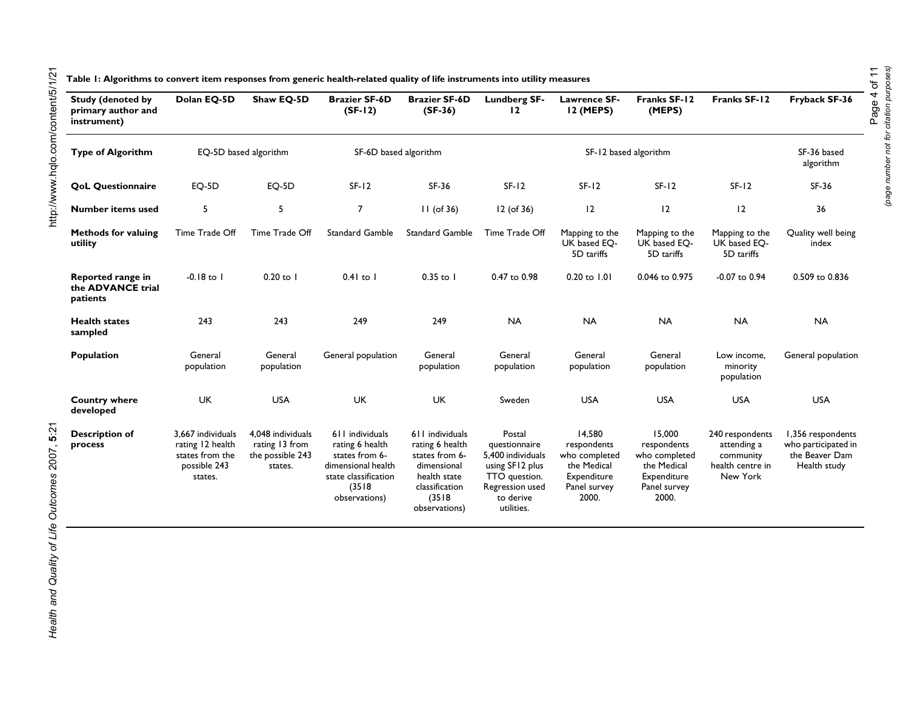| <b>Study (denoted by</b><br>primary author and<br>instrument) | Dolan EQ-5D                                                                         | Shaw EQ-5D                                                         | <b>Brazier SF-6D</b><br>$(SF-12)$                                                                                             | <b>Brazier SF-6D</b><br>$(SF-36)$                                                                                                | <b>Lundberg SF-</b><br>12                                                                                                      | <b>Lawrence SF-</b><br>12 (MEPS)                                                              | <b>Franks SF-12</b><br>(MEPS)                                                                 | <b>Franks SF-12</b>                                                         | Fryback SF-36                                                              |
|---------------------------------------------------------------|-------------------------------------------------------------------------------------|--------------------------------------------------------------------|-------------------------------------------------------------------------------------------------------------------------------|----------------------------------------------------------------------------------------------------------------------------------|--------------------------------------------------------------------------------------------------------------------------------|-----------------------------------------------------------------------------------------------|-----------------------------------------------------------------------------------------------|-----------------------------------------------------------------------------|----------------------------------------------------------------------------|
| <b>Type of Algorithm</b>                                      | EQ-5D based algorithm                                                               |                                                                    | SF-6D based algorithm                                                                                                         |                                                                                                                                  |                                                                                                                                | SF-36 based<br>algorithm                                                                      |                                                                                               |                                                                             |                                                                            |
| <b>QoL Questionnaire</b>                                      | EQ-5D                                                                               | EQ-5D                                                              | $SF-12$                                                                                                                       | SF-36                                                                                                                            | $SF-12$                                                                                                                        | $SF-12$                                                                                       | $SF-12$                                                                                       | $SF-12$                                                                     | SF-36                                                                      |
| <b>Number items used</b>                                      | 5                                                                                   | 5                                                                  | $\overline{7}$                                                                                                                | $II$ (of 36)                                                                                                                     | 12<br>12 (of 36)                                                                                                               |                                                                                               | 12                                                                                            | 12                                                                          | 36                                                                         |
| <b>Methods for valuing</b><br>utility                         | Time Trade Off                                                                      | Time Trade Off                                                     | <b>Standard Gamble</b>                                                                                                        | <b>Standard Gamble</b>                                                                                                           | Time Trade Off<br>Mapping to the<br>UK based EO-<br>5D tariffs                                                                 |                                                                                               | Mapping to the<br>UK based EQ-<br>5D tariffs                                                  | Mapping to the<br>UK based EQ-<br>5D tariffs                                | Quality well being<br>index                                                |
| Reported range in<br>the ADVANCE trial<br>patients            | $-0.18$ to $\overline{\phantom{a}}$                                                 | $0.20$ to $\vert$                                                  | $0.41$ to $1$                                                                                                                 | 0.35 to 1                                                                                                                        | 0.47 to 0.98                                                                                                                   | 0.20 to 1.01                                                                                  | 0.046 to 0.975                                                                                | $-0.07$ to 0.94                                                             | 0.509 to 0.836                                                             |
| <b>Health states</b><br>sampled                               | 243                                                                                 | 243                                                                | 249                                                                                                                           | 249                                                                                                                              | <b>NA</b>                                                                                                                      | <b>NA</b>                                                                                     | <b>NA</b>                                                                                     | <b>NA</b>                                                                   | <b>NA</b>                                                                  |
| <b>Population</b>                                             | General<br>population                                                               | General<br>population                                              | General population                                                                                                            | General<br>population                                                                                                            | General<br>population                                                                                                          | General<br>population                                                                         | General<br>population                                                                         | Low income,<br>minority<br>population                                       | General population                                                         |
| <b>Country where</b><br>developed                             | <b>UK</b>                                                                           | <b>USA</b>                                                         | <b>UK</b>                                                                                                                     | <b>UK</b>                                                                                                                        | Sweden                                                                                                                         | <b>USA</b>                                                                                    | <b>USA</b>                                                                                    | <b>USA</b>                                                                  | <b>USA</b>                                                                 |
| <b>Description of</b><br>process                              | 3.667 individuals<br>rating 12 health<br>states from the<br>possible 243<br>states. | 4.048 individuals<br>rating 13 from<br>the possible 243<br>states. | 611 individuals<br>rating 6 health<br>states from 6-<br>dimensional health<br>state classification<br>(3518)<br>observations) | 611 individuals<br>rating 6 health<br>states from 6-<br>dimensional<br>health state<br>classification<br>(3518)<br>observations) | Postal<br>questionnaire<br>5,400 individuals<br>using SF12 plus<br>TTO question.<br>Regression used<br>to derive<br>utilities. | 14.580<br>respondents<br>who completed<br>the Medical<br>Expenditure<br>Panel survey<br>2000. | 15,000<br>respondents<br>who completed<br>the Medical<br>Expenditure<br>Panel survey<br>2000. | 240 respondents<br>attending a<br>community<br>health centre in<br>New York | 1,356 respondents<br>who participated in<br>the Beaver Dam<br>Health study |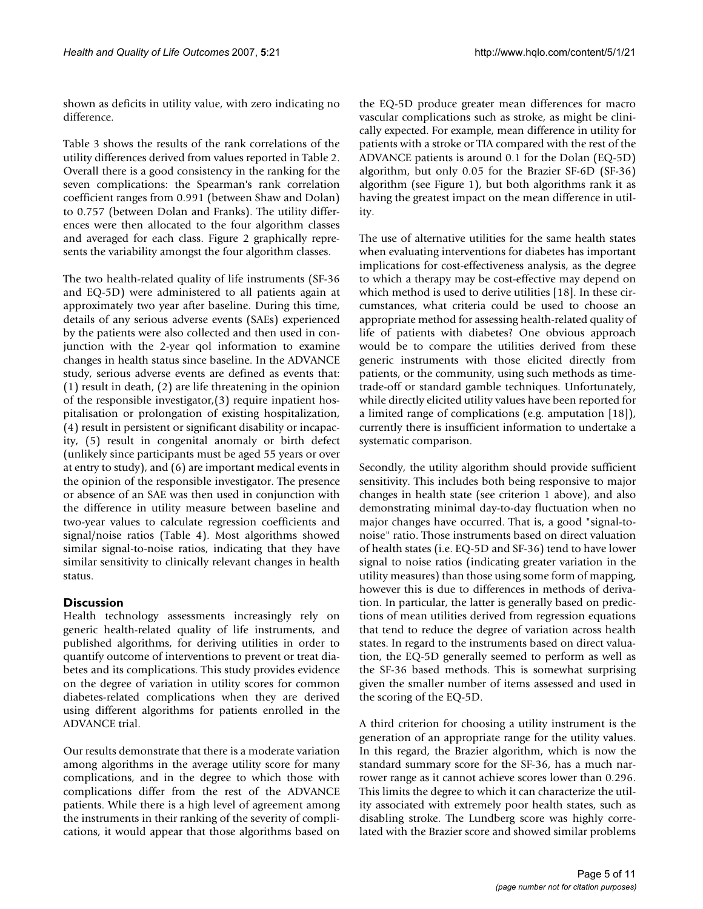shown as deficits in utility value, with zero indicating no difference.

Table 3 shows the results of the rank correlations of the utility differences derived from values reported in Table 2. Overall there is a good consistency in the ranking for the seven complications: the Spearman's rank correlation coefficient ranges from 0.991 (between Shaw and Dolan) to 0.757 (between Dolan and Franks). The utility differences were then allocated to the four algorithm classes and averaged for each class. Figure 2 graphically represents the variability amongst the four algorithm classes.

The two health-related quality of life instruments (SF-36 and EQ-5D) were administered to all patients again at approximately two year after baseline. During this time, details of any serious adverse events (SAEs) experienced by the patients were also collected and then used in conjunction with the 2-year qol information to examine changes in health status since baseline. In the ADVANCE study, serious adverse events are defined as events that: (1) result in death, (2) are life threatening in the opinion of the responsible investigator,(3) require inpatient hospitalisation or prolongation of existing hospitalization, (4) result in persistent or significant disability or incapacity, (5) result in congenital anomaly or birth defect (unlikely since participants must be aged 55 years or over at entry to study), and (6) are important medical events in the opinion of the responsible investigator. The presence or absence of an SAE was then used in conjunction with the difference in utility measure between baseline and two-year values to calculate regression coefficients and signal/noise ratios (Table 4). Most algorithms showed similar signal-to-noise ratios, indicating that they have similar sensitivity to clinically relevant changes in health status.

### **Discussion**

Health technology assessments increasingly rely on generic health-related quality of life instruments, and published algorithms, for deriving utilities in order to quantify outcome of interventions to prevent or treat diabetes and its complications. This study provides evidence on the degree of variation in utility scores for common diabetes-related complications when they are derived using different algorithms for patients enrolled in the ADVANCE trial.

Our results demonstrate that there is a moderate variation among algorithms in the average utility score for many complications, and in the degree to which those with complications differ from the rest of the ADVANCE patients. While there is a high level of agreement among the instruments in their ranking of the severity of complications, it would appear that those algorithms based on

the EQ-5D produce greater mean differences for macro vascular complications such as stroke, as might be clinically expected. For example, mean difference in utility for patients with a stroke or TIA compared with the rest of the ADVANCE patients is around 0.1 for the Dolan (EQ-5D) algorithm, but only 0.05 for the Brazier SF-6D (SF-36) algorithm (see Figure 1), but both algorithms rank it as having the greatest impact on the mean difference in utility.

The use of alternative utilities for the same health states when evaluating interventions for diabetes has important implications for cost-effectiveness analysis, as the degree to which a therapy may be cost-effective may depend on which method is used to derive utilities [18]. In these circumstances, what criteria could be used to choose an appropriate method for assessing health-related quality of life of patients with diabetes? One obvious approach would be to compare the utilities derived from these generic instruments with those elicited directly from patients, or the community, using such methods as timetrade-off or standard gamble techniques. Unfortunately, while directly elicited utility values have been reported for a limited range of complications (e.g. amputation [18]), currently there is insufficient information to undertake a systematic comparison.

Secondly, the utility algorithm should provide sufficient sensitivity. This includes both being responsive to major changes in health state (see criterion 1 above), and also demonstrating minimal day-to-day fluctuation when no major changes have occurred. That is, a good "signal-tonoise" ratio. Those instruments based on direct valuation of health states (i.e. EQ-5D and SF-36) tend to have lower signal to noise ratios (indicating greater variation in the utility measures) than those using some form of mapping, however this is due to differences in methods of derivation. In particular, the latter is generally based on predictions of mean utilities derived from regression equations that tend to reduce the degree of variation across health states. In regard to the instruments based on direct valuation, the EQ-5D generally seemed to perform as well as the SF-36 based methods. This is somewhat surprising given the smaller number of items assessed and used in the scoring of the EQ-5D.

A third criterion for choosing a utility instrument is the generation of an appropriate range for the utility values. In this regard, the Brazier algorithm, which is now the standard summary score for the SF-36, has a much narrower range as it cannot achieve scores lower than 0.296. This limits the degree to which it can characterize the utility associated with extremely poor health states, such as disabling stroke. The Lundberg score was highly correlated with the Brazier score and showed similar problems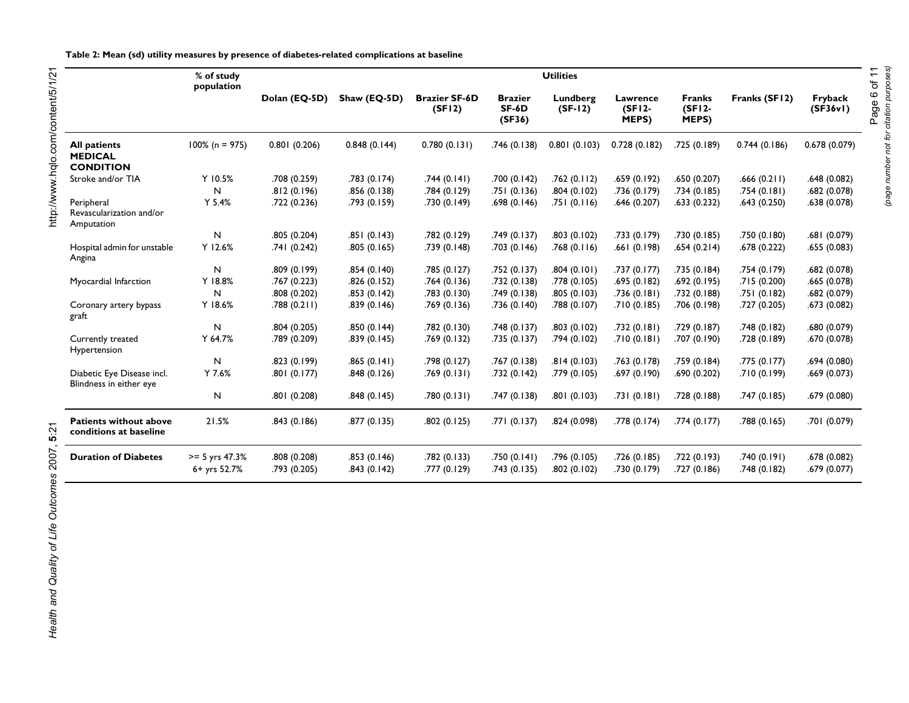**Table 2: Mean (sd) utility measures by presence of diabetes-related complications at baseline**

|                                                           | % of study<br>population | <b>Utilities</b> |              |                                |                                   |                       |                               |                                    |               |                     |  |
|-----------------------------------------------------------|--------------------------|------------------|--------------|--------------------------------|-----------------------------------|-----------------------|-------------------------------|------------------------------------|---------------|---------------------|--|
|                                                           |                          | Dolan (EQ-5D)    | Shaw (EQ-5D) | <b>Brazier SF-6D</b><br>(SF12) | <b>Brazier</b><br>SF-6D<br>(SF36) | Lundberg<br>$(SF-12)$ | Lawrence<br>$(SFI2-$<br>MEPS) | <b>Franks</b><br>$(SFI2-$<br>MEPS) | Franks (SF12) | Fryback<br>(SF36v1) |  |
| <b>All patients</b><br><b>MEDICAL</b><br><b>CONDITION</b> | $100\%$ (n = 975)        | 0.801(0.206)     | 0.848(0.144) | 0.780(0.131)                   | .746 (0.138)                      | 0.801(0.103)          | 0.728(0.182)                  | .725 (0.189)                       | 0.744(0.186)  | 0.678(0.079)        |  |
| Stroke and/or TIA                                         | Y 10.5%                  | .708(0.259)      | .783(0.174)  | .744(0.141)                    | .700(0.142)                       | .762(0.112)           | .659(0.192)                   | .650(0.207)                        | .666(0.211)   | .648(0.082)         |  |
|                                                           | N                        | .812(0.196)      | .856(0.138)  | .784(0.129)                    | .751(0.136)                       | .804(0.102)           | .736(0.179)                   | .734(0.185)                        | .754(0.181)   | .682(0.078)         |  |
| Peripheral<br>Revascularization and/or<br>Amputation      | Y 5.4%                   | .722 (0.236)     | .793 (0.159) | .730(0.149)                    | .698(0.146)                       | .751(0.116)           | .646(0.207)                   | .633(0.232)                        | .643(0.250)   | .638 (0.078)        |  |
|                                                           | N                        | .805(0.204)      | .851(0.143)  | .782(0.129)                    | .749(0.137)                       | .803(0.102)           | .733(0.179)                   | .730(0.185)                        | .750(0.180)   | .681 (0.079)        |  |
| Hospital admin for unstable<br>Angina                     | Y 12.6%                  | .741(0.242)      | .805(0.165)  | .739(0.148)                    | .703(0.146)                       | .768(0.116)           | .661(0.198)                   | .654(0.214)                        | .678(0.222)   | .655(0.083)         |  |
|                                                           | $\mathsf{N}$             | .809 (0.199)     | .854(0.140)  | .785(0.127)                    | .752(0.137)                       | .804(0.101)           | .737(0.177)                   | .735(0.184)                        | .754(0.179)   | .682 (0.078)        |  |
| Myocardial Infarction                                     | Y 18.8%                  | .767(0.223)      | .826(0.152)  | .764(0.136)                    | .732 (0.138)                      | .778(0.105)           | .695(0.182)                   | .692(0.195)                        | .715(0.200)   | .665(0.078)         |  |
|                                                           | N                        | .808 (0.202)     | .853(0.142)  | .783(0.130)                    | .749(0.138)                       | .805(0.103)           | .736(0.181)                   | .732(0.188)                        | .751(0.182)   | .682(0.079)         |  |
| Coronary artery bypass<br>graft                           | Y 18.6%                  | .788(0.211)      | .839(0.146)  | .769(0.136)                    | .736(0.140)                       | .788 (0.107)          | .710(0.185)                   | .706(0.198)                        | .727(0.205)   | .673(0.082)         |  |
|                                                           | N                        | .804(0.205)      | .850(0.144)  | .782(0.130)                    | .748(0.137)                       | .803(0.102)           | .732(0.181)                   | .729(0.187)                        | .748(0.182)   | .680 (0.079)        |  |
| Currently treated<br>Hypertension                         | Y 64.7%                  | .789 (0.209)     | .839(0.145)  | .769(0.132)                    | .735(0.137)                       | .794 (0.102)          | .710(0.181)                   | .707 (0.190)                       | .728(0.189)   | .670 (0.078)        |  |
|                                                           | N                        | .823(0.199)      | .865(0.141)  | .798(0.127)                    | .767(0.138)                       | .814(0.103)           | .763(0.178)                   | .759(0.184)                        | .775(0.177)   | .694(0.080)         |  |
| Diabetic Eye Disease incl.<br>Blindness in either eye     | Y 7.6%                   | .801(0.177)      | .848(0.126)  | .769(0.131)                    | .732(0.142)                       | .779(0.105)           | .697(0.190)                   | .690(0.202)                        | .710(0.199)   | .669(0.073)         |  |
|                                                           | N                        | .801(0.208)      | .848(0.145)  | .780(0.131)                    | .747(0.138)                       | .801(0.103)           | .731(0.181)                   | .728 (0.188)                       | .747(0.185)   | .679 (0.080)        |  |
| <b>Patients without above</b><br>conditions at baseline   | 21.5%                    | .843(0.186)      | .877(0.135)  | .802(0.125)                    | .771(0.137)                       | .824 (0.098)          | .778(0.174)                   | .774 (0.177)                       | .788(0.165)   | .701 (0.079)        |  |
| <b>Duration of Diabetes</b>                               | $>= 5$ yrs 47.3%         | .808(0.208)      | .853(0.146)  | .782(0.133)                    | .750(0.141)                       | .796 (0.105)          | .726(0.185)                   | .722(0.193)                        | .740(0.191)   | .678(0.082)         |  |
|                                                           | 6+ yrs 52.7%             | .793(0.205)      | .843(0.142)  | .777(0.129)                    | .743(0.135)                       | .802(0.102)           | .730 (0.179)                  | .727(0.186)                        | .748(0.182)   | .679(0.077)         |  |

Page 6 of 11

*(page number not for citation purposes)*

Page number not for citation purposes)<br>(page number not for citation purposes)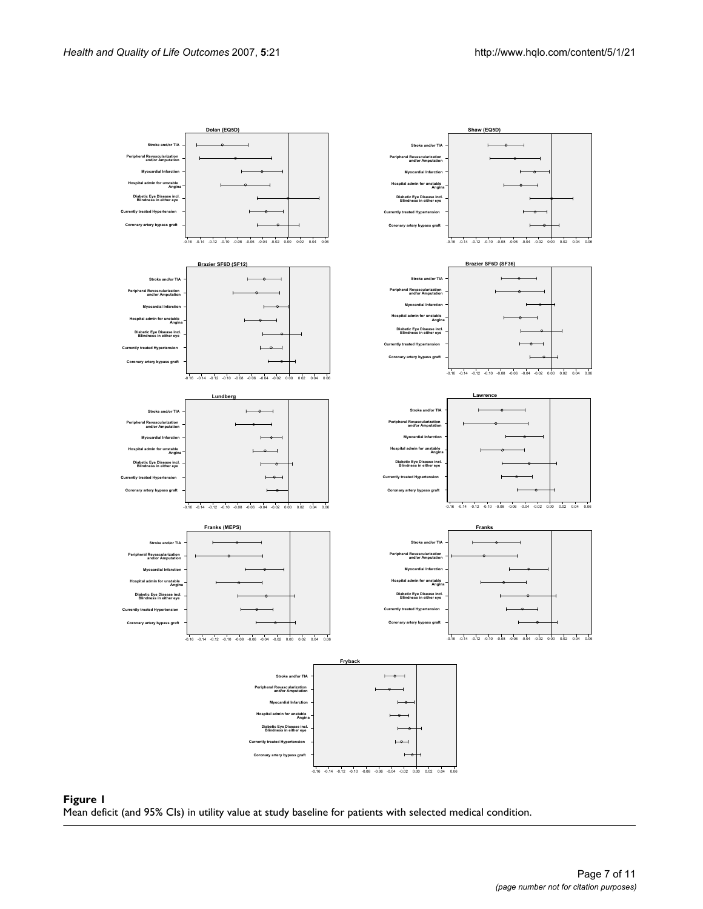

### Mean deficit (and 95% CIs) in utility value at study **Figure 1** baseline for patients with selected medical condition

Mean deficit (and 95% CIs) in utility value at study baseline for patients with selected medical condition.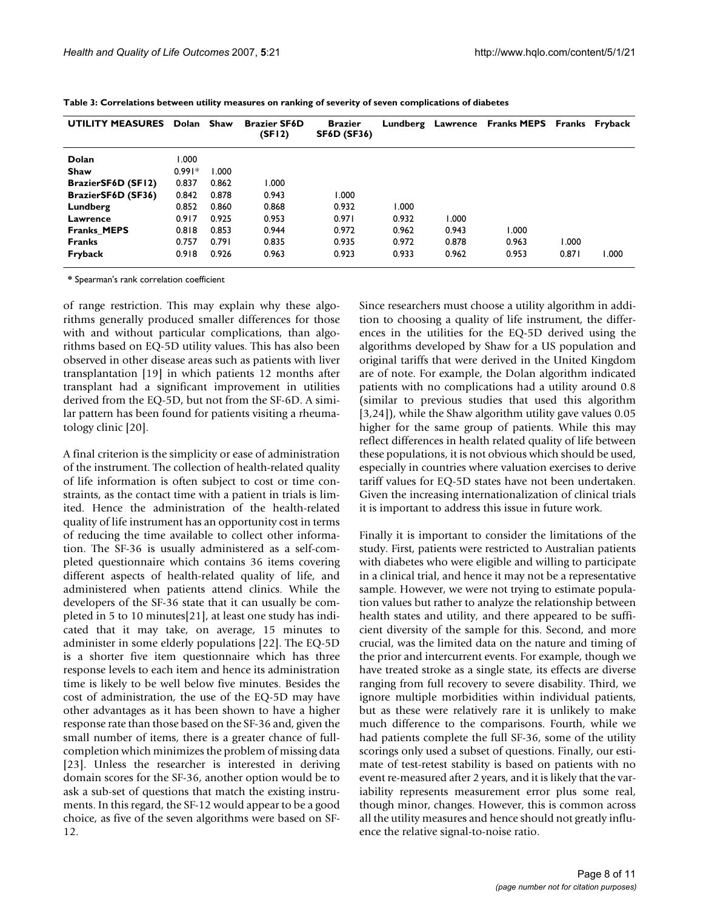| <b>UTILITY MEASURES</b>   | Dolan Shaw |       | <b>Brazier SF6D</b><br>(SFI2) | <b>Brazier</b><br><b>SF6D (SF36)</b> | Lundberg |       | Lawrence Franks MEPS |       | Franks Fryback |
|---------------------------|------------|-------|-------------------------------|--------------------------------------|----------|-------|----------------------|-------|----------------|
| Dolan                     | 1.000      |       |                               |                                      |          |       |                      |       |                |
| Shaw                      | $0.991*$   | 1.000 |                               |                                      |          |       |                      |       |                |
| <b>BrazierSF6D (SF12)</b> | 0.837      | 0.862 | 1.000                         |                                      |          |       |                      |       |                |
| BrazierSF6D (SF36)        | 0.842      | 0.878 | 0.943                         | 1.000                                |          |       |                      |       |                |
| Lundberg                  | 0.852      | 0.860 | 0.868                         | 0.932                                | 1.000    |       |                      |       |                |
| Lawrence                  | 0.917      | 0.925 | 0.953                         | 0.971                                | 0.932    | 1.000 |                      |       |                |
| <b>Franks MEPS</b>        | 0.818      | 0.853 | 0.944                         | 0.972                                | 0.962    | 0.943 | 1.000                |       |                |
| <b>Franks</b>             | 0.757      | 0.791 | 0.835                         | 0.935                                | 0.972    | 0.878 | 0.963                | 1.000 |                |
| Fryback                   | 0.918      | 0.926 | 0.963                         | 0.923                                | 0.933    | 0.962 | 0.953                | 0.871 | 1.000          |

**Table 3: Correlations between utility measures on ranking of severity of seven complications of diabetes**

**\*** Spearman's rank correlation coefficient

of range restriction. This may explain why these algorithms generally produced smaller differences for those with and without particular complications, than algorithms based on EQ-5D utility values. This has also been observed in other disease areas such as patients with liver transplantation [19] in which patients 12 months after transplant had a significant improvement in utilities derived from the EQ-5D, but not from the SF-6D. A similar pattern has been found for patients visiting a rheumatology clinic [20].

A final criterion is the simplicity or ease of administration of the instrument. The collection of health-related quality of life information is often subject to cost or time constraints, as the contact time with a patient in trials is limited. Hence the administration of the health-related quality of life instrument has an opportunity cost in terms of reducing the time available to collect other information. The SF-36 is usually administered as a self-completed questionnaire which contains 36 items covering different aspects of health-related quality of life, and administered when patients attend clinics. While the developers of the SF-36 state that it can usually be completed in 5 to 10 minutes[21], at least one study has indicated that it may take, on average, 15 minutes to administer in some elderly populations [22]. The EQ-5D is a shorter five item questionnaire which has three response levels to each item and hence its administration time is likely to be well below five minutes. Besides the cost of administration, the use of the EQ-5D may have other advantages as it has been shown to have a higher response rate than those based on the SF-36 and, given the small number of items, there is a greater chance of fullcompletion which minimizes the problem of missing data [23]. Unless the researcher is interested in deriving domain scores for the SF-36, another option would be to ask a sub-set of questions that match the existing instruments. In this regard, the SF-12 would appear to be a good choice, as five of the seven algorithms were based on SF-12.

Since researchers must choose a utility algorithm in addition to choosing a quality of life instrument, the differences in the utilities for the EQ-5D derived using the algorithms developed by Shaw for a US population and original tariffs that were derived in the United Kingdom are of note. For example, the Dolan algorithm indicated patients with no complications had a utility around 0.8 (similar to previous studies that used this algorithm [3,24]), while the Shaw algorithm utility gave values 0.05 higher for the same group of patients. While this may reflect differences in health related quality of life between these populations, it is not obvious which should be used, especially in countries where valuation exercises to derive tariff values for EQ-5D states have not been undertaken. Given the increasing internationalization of clinical trials it is important to address this issue in future work.

Finally it is important to consider the limitations of the study. First, patients were restricted to Australian patients with diabetes who were eligible and willing to participate in a clinical trial, and hence it may not be a representative sample. However, we were not trying to estimate population values but rather to analyze the relationship between health states and utility, and there appeared to be sufficient diversity of the sample for this. Second, and more crucial, was the limited data on the nature and timing of the prior and intercurrent events. For example, though we have treated stroke as a single state, its effects are diverse ranging from full recovery to severe disability. Third, we ignore multiple morbidities within individual patients, but as these were relatively rare it is unlikely to make much difference to the comparisons. Fourth, while we had patients complete the full SF-36, some of the utility scorings only used a subset of questions. Finally, our estimate of test-retest stability is based on patients with no event re-measured after 2 years, and it is likely that the variability represents measurement error plus some real, though minor, changes. However, this is common across all the utility measures and hence should not greatly influence the relative signal-to-noise ratio.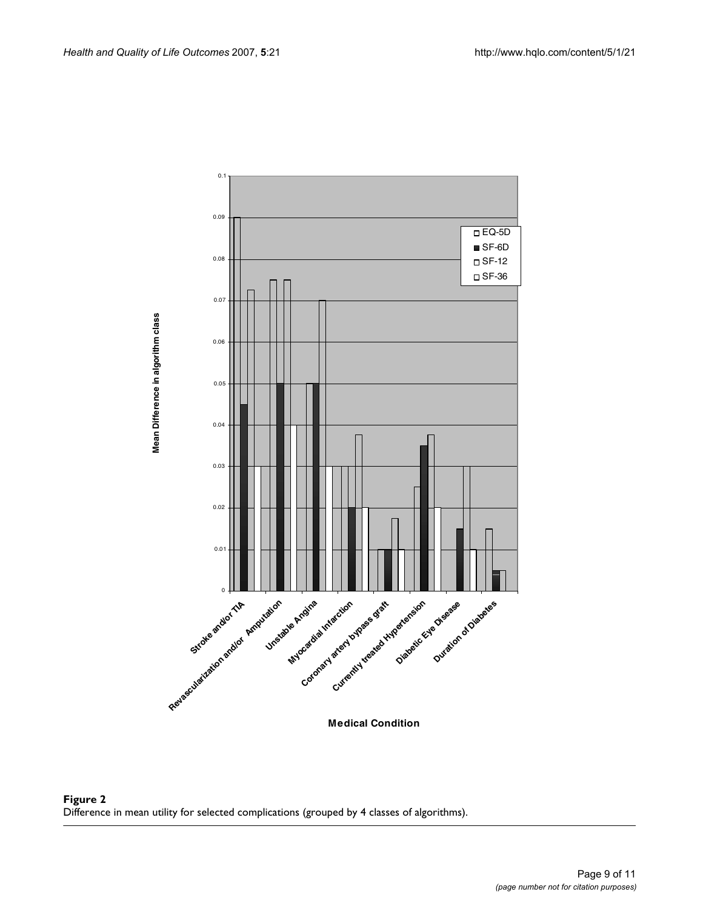

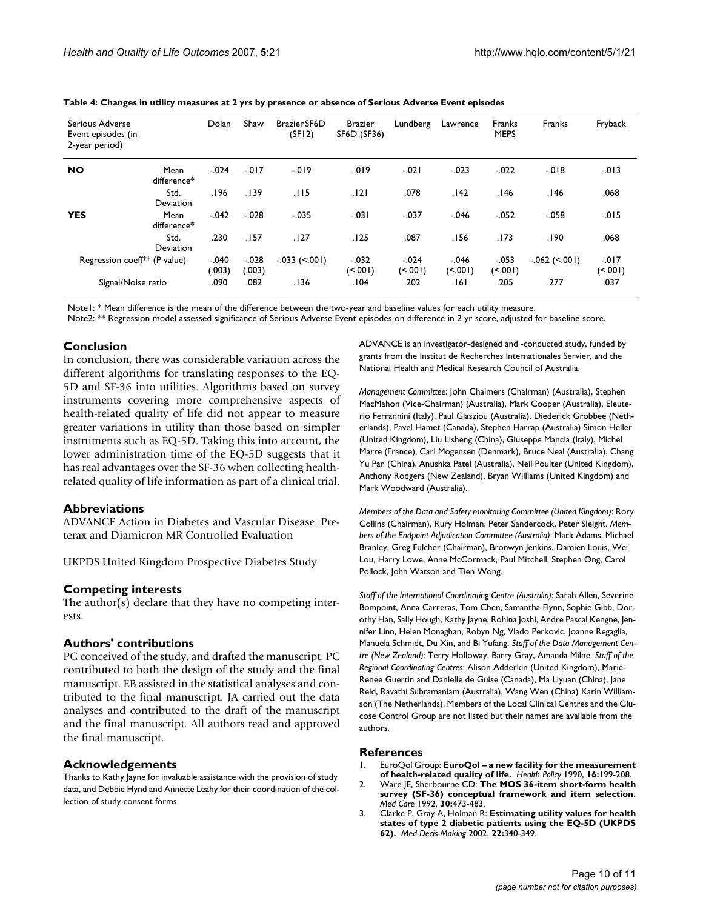| Serious Adverse<br>Event episodes (in<br>2-year period) |                     | Dolan             | Shaw              | Brazier SF6D<br>(SFI2) | <b>Brazier</b><br>SF6D (SF36) | Lundberg            | Lawrence             | Franks<br><b>MEPS</b> | Franks          | Fryback           |
|---------------------------------------------------------|---------------------|-------------------|-------------------|------------------------|-------------------------------|---------------------|----------------------|-----------------------|-----------------|-------------------|
| <b>NO</b>                                               | Mean<br>difference* | $-0.024$          | $-017$            | $-019$                 | $-019$                        | $-.021$             | $-.023$              | $-0.022$              | $-018$          | $-013$            |
|                                                         | Std.<br>Deviation   | .196              | .139              | .115                   | .121                          | .078                | .142                 | .146                  | .146            | .068              |
| <b>YES</b>                                              | Mean<br>difference* | $-0.042$          | $-0.028$          | $-.035$                | $-.031$                       | $-0.037$            | $-0.046$             | $-0.052$              | $-0.058$        | $-015$            |
|                                                         | Std.<br>Deviation   | .230              | .157              | .127                   | .125                          | .087                | . 156                | .173                  | .190            | .068              |
| Regression coeff <sup>**</sup> (P value)                |                     | $-.040$<br>(.003) | $-.028$<br>(.003) | $-.033$ ( $-.001$ )    | $-.032$<br>(5.001)            | $-.024$<br>(< .001) | $-0.046$<br>(< .001) | $-0.53$<br>(5.001)    | $-.062$ (<.001) | $-017$<br>(5.001) |
| Signal/Noise ratio                                      |                     | .090              | .082              | .136                   | .104                          | .202                | .161                 | .205                  | .277            | .037              |

**Table 4: Changes in utility measures at 2 yrs by presence or absence of Serious Adverse Event episodes**

Note1: \* Mean difference is the mean of the difference between the two-year and baseline values for each utility measure.

Note2: \*\* Regression model assessed significance of Serious Adverse Event episodes on difference in 2 yr score, adjusted for baseline score.

### **Conclusion**

In conclusion, there was considerable variation across the different algorithms for translating responses to the EQ-5D and SF-36 into utilities. Algorithms based on survey instruments covering more comprehensive aspects of health-related quality of life did not appear to measure greater variations in utility than those based on simpler instruments such as EQ-5D. Taking this into account, the lower administration time of the EQ-5D suggests that it has real advantages over the SF-36 when collecting healthrelated quality of life information as part of a clinical trial.

### **Abbreviations**

ADVANCE Action in Diabetes and Vascular Disease: Preterax and Diamicron MR Controlled Evaluation

UKPDS United Kingdom Prospective Diabetes Study

#### **Competing interests**

The author(s) declare that they have no competing interests.

### **Authors' contributions**

PG conceived of the study, and drafted the manuscript. PC contributed to both the design of the study and the final manuscript. EB assisted in the statistical analyses and contributed to the final manuscript. JA carried out the data analyses and contributed to the draft of the manuscript and the final manuscript. All authors read and approved the final manuscript.

### **Acknowledgements**

Thanks to Kathy Jayne for invaluable assistance with the provision of study data, and Debbie Hynd and Annette Leahy for their coordination of the collection of study consent forms.

ADVANCE is an investigator-designed and -conducted study, funded by grants from the Institut de Recherches Internationales Servier, and the National Health and Medical Research Council of Australia.

*Management Committee*: John Chalmers (Chairman) (Australia), Stephen MacMahon (Vice-Chairman) (Australia), Mark Cooper (Australia), Eleuterio Ferrannini (Italy), Paul Glasziou (Australia), Diederick Grobbee (Netherlands), Pavel Hamet (Canada), Stephen Harrap (Australia) Simon Heller (United Kingdom), Liu Lisheng (China), Giuseppe Mancia (Italy), Michel Marre (France), Carl Mogensen (Denmark), Bruce Neal (Australia), Chang Yu Pan (China), Anushka Patel (Australia), Neil Poulter (United Kingdom), Anthony Rodgers (New Zealand), Bryan Williams (United Kingdom) and Mark Woodward (Australia).

*Members of the Data and Safety monitoring Committee (United Kingdom)*: Rory Collins (Chairman), Rury Holman, Peter Sandercock, Peter Sleight. *Members of the Endpoint Adjudication Committee (Australia)*: Mark Adams, Michael Branley, Greg Fulcher (Chairman), Bronwyn Jenkins, Damien Louis, Wei Lou, Harry Lowe, Anne McCormack, Paul Mitchell, Stephen Ong, Carol Pollock, John Watson and Tien Wong.

*Staff of the International Coordinating Centre (Australia)*: Sarah Allen, Severine Bompoint, Anna Carreras, Tom Chen, Samantha Flynn, Sophie Gibb, Dorothy Han, Sally Hough, Kathy Jayne, Rohina Joshi, Andre Pascal Kengne, Jennifer Linn, Helen Monaghan, Robyn Ng, Vlado Perkovic, Joanne Regaglia, Manuela Schmidt, Du Xin, and Bi Yufang. *Staff of the Data Management Centre (New Zealand)*: Terry Holloway, Barry Gray, Amanda Milne. *Staff of the Regional Coordinating Centres*: Alison Adderkin (United Kingdom), Marie-Renee Guertin and Danielle de Guise (Canada), Ma Liyuan (China), Jane Reid, Ravathi Subramaniam (Australia), Wang Wen (China) Karin Williamson (The Netherlands). Members of the Local Clinical Centres and the Glucose Control Group are not listed but their names are available from the authors.

#### **References**

- 1. EuroQol Group: **[EuroQol a new facility for the measurement](http://www.ncbi.nlm.nih.gov/entrez/query.fcgi?cmd=Retrieve&db=PubMed&dopt=Abstract&list_uids=10109801) [of health-related quality of life.](http://www.ncbi.nlm.nih.gov/entrez/query.fcgi?cmd=Retrieve&db=PubMed&dopt=Abstract&list_uids=10109801)** *Health Policy* 1990, **16:**199-208.
- 2. Ware JE, Sherbourne CD: **[The MOS 36-item short-form health](http://www.ncbi.nlm.nih.gov/entrez/query.fcgi?cmd=Retrieve&db=PubMed&dopt=Abstract&list_uids=1593914) [survey \(SF-36\) conceptual framework and item selection.](http://www.ncbi.nlm.nih.gov/entrez/query.fcgi?cmd=Retrieve&db=PubMed&dopt=Abstract&list_uids=1593914)** *Med Care* 1992, **30:**473-483.
- 3. Clarke P, Gray A, Holman R: **[Estimating utility values for health](http://www.ncbi.nlm.nih.gov/entrez/query.fcgi?cmd=Retrieve&db=PubMed&dopt=Abstract&list_uids=12150599) [states of type 2 diabetic patients using the EQ-5D \(UKPDS](http://www.ncbi.nlm.nih.gov/entrez/query.fcgi?cmd=Retrieve&db=PubMed&dopt=Abstract&list_uids=12150599) [62\).](http://www.ncbi.nlm.nih.gov/entrez/query.fcgi?cmd=Retrieve&db=PubMed&dopt=Abstract&list_uids=12150599)** *Med-Decis-Making* 2002, **22:**340-349.